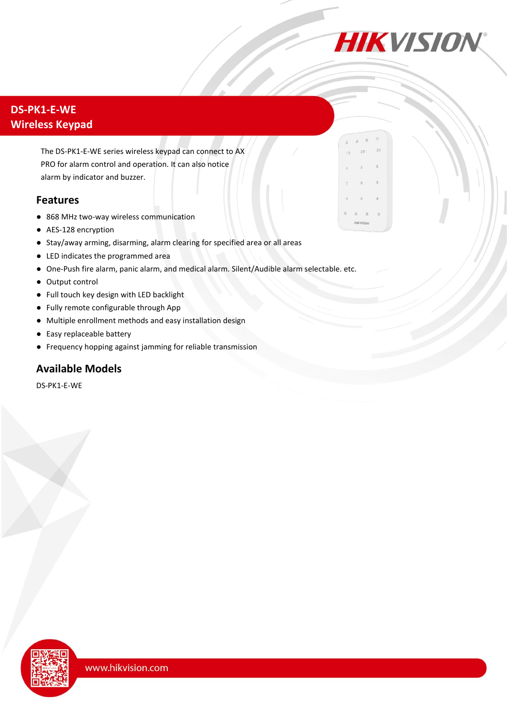

## **DS-PK1-E-WE Wireless Keypad**

The DS-PK1-E-WE series wireless keypad can connect to AX PRO for alarm control and operation. It can also notice alarm by indicator and buzzer.

#### **Features**

- 868 MHz two-way wireless communication
- AES-128 encryption
- Stay/away arming, disarming, alarm clearing for specified area or all areas
- LED indicates the programmed area
- One-Push fire alarm, panic alarm, and medical alarm. Silent/Audible alarm selectable. etc.
- Output control
- Full touch key design with LED backlight
- Fully remote configurable through App
- Multiple enrollment methods and easy installation design
- Easy replaceable battery
- Frequency hopping against jamming for reliable transmission

### **Available Models**

DS-PK1-E-WE

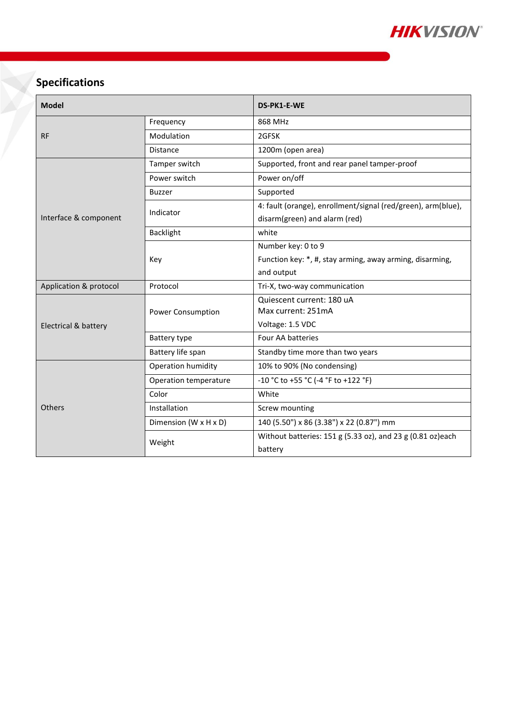

# **Specifications**

| <b>Model</b>           |                          | DS-PK1-E-WE                                                  |
|------------------------|--------------------------|--------------------------------------------------------------|
| <b>RF</b>              | Frequency                | 868 MHz                                                      |
|                        | Modulation               | 2GFSK                                                        |
|                        | <b>Distance</b>          | 1200m (open area)                                            |
| Interface & component  | Tamper switch            | Supported, front and rear panel tamper-proof                 |
|                        | Power switch             | Power on/off                                                 |
|                        | <b>Buzzer</b>            | Supported                                                    |
|                        | Indicator                | 4: fault (orange), enrollment/signal (red/green), arm(blue), |
|                        |                          | disarm(green) and alarm (red)                                |
|                        | <b>Backlight</b>         | white                                                        |
|                        | Key                      | Number key: 0 to 9                                           |
|                        |                          | Function key: *, #, stay arming, away arming, disarming,     |
|                        |                          | and output                                                   |
| Application & protocol | Protocol                 | Tri-X, two-way communication                                 |
| Electrical & battery   | <b>Power Consumption</b> | Quiescent current: 180 uA                                    |
|                        |                          | Max current: 251mA                                           |
|                        |                          | Voltage: 1.5 VDC                                             |
|                        | Battery type             | Four AA batteries                                            |
|                        | Battery life span        | Standby time more than two years                             |
| Others                 | Operation humidity       | 10% to 90% (No condensing)                                   |
|                        | Operation temperature    | -10 °C to +55 °C (-4 °F to +122 °F)                          |
|                        | Color                    | White                                                        |
|                        | Installation             | Screw mounting                                               |
|                        | Dimension (W x H x D)    | 140 (5.50") x 86 (3.38") x 22 (0.87") mm                     |
|                        | Weight                   | Without batteries: 151 g (5.33 oz), and 23 g (0.81 oz)each   |
|                        |                          | battery                                                      |